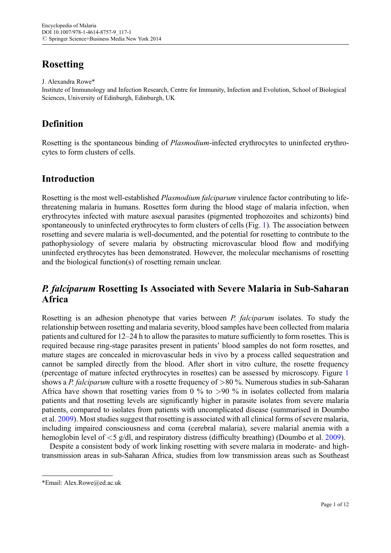# Rosetting

J. Alexandra Rowe\*

Institute of Immunology and Infection Research, Centre for Immunity, Infection and Evolution, School of Biological Sciences, University of Edinburgh, Edinburgh, UK

## Definition

Rosetting is the spontaneous binding of Plasmodium-infected erythrocytes to uninfected erythrocytes to form clusters of cells.

## Introduction

Rosetting is the most well-established *Plasmodium falciparum* virulence factor contributing to lifethreatening malaria in humans. Rosettes form during the blood stage of malaria infection, when erythrocytes infected with mature asexual parasites (pigmented trophozoites and schizonts) bind spontaneously to uninfected erythrocytes to form clusters of cells (Fig. [1\)](#page-1-0). The association between rosetting and severe malaria is well-documented, and the potential for rosetting to contribute to the pathophysiology of severe malaria by obstructing microvascular blood flow and modifying uninfected erythrocytes has been demonstrated. However, the molecular mechanisms of rosetting and the biological function(s) of rosetting remain unclear.

## P. falciparum Rosetting Is Associated with Severe Malaria in Sub-Saharan Africa

Rosetting is an adhesion phenotype that varies between P. falciparum isolates. To study the relationship between rosetting and malaria severity, blood samples have been collected from malaria patients and cultured for 12–24 h to allow the parasites to mature sufficiently to form rosettes. This is required because ring-stage parasites present in patients' blood samples do not form rosettes, and mature stages are concealed in microvascular beds in vivo by a process called sequestration and cannot be sampled directly from the blood. After short in vitro culture, the rosette frequency (percentage of mature infected erythrocytes in rosettes) can be assessed by microscopy. Figure [1](#page-1-0) shows a P. falciparum culture with a rosette frequency of  $> 80$  %. Numerous studies in sub-Saharan Africa have shown that rosetting varies from 0  $\%$  to >90  $\%$  in isolates collected from malaria patients and that rosetting levels are significantly higher in parasite isolates from severe malaria patients, compared to isolates from patients with uncomplicated disease (summarised in Doumbo et al. [2009](#page-9-0)). Most studies suggest that rosetting is associated with all clinical forms of severe malaria, including impaired consciousness and coma (cerebral malaria), severe malarial anemia with a hemoglobin level of <5 g/dl, and respiratory distress (difficulty breathing) (Doumbo et al. [2009](#page-9-0)).

Despite a consistent body of work linking rosetting with severe malaria in moderate- and hightransmission areas in sub-Saharan Africa, studies from low transmission areas such as Southeast

<sup>\*</sup>Email: Alex.Rowe@ed.ac.uk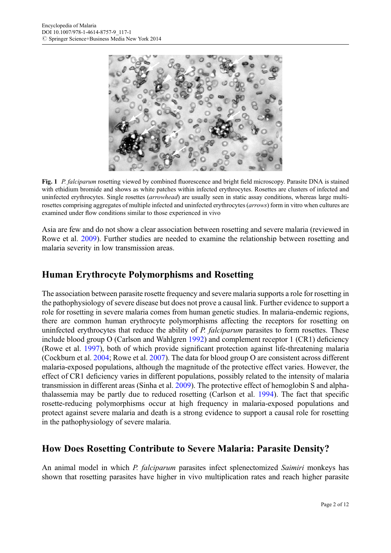<span id="page-1-0"></span>

Fig. 1 P. falciparum rosetting viewed by combined fluorescence and bright field microscopy. Parasite DNA is stained with ethidium bromide and shows as white patches within infected erythrocytes. Rosettes are clusters of infected and uninfected erythrocytes. Single rosettes (arrowhead) are usually seen in static assay conditions, whereas large multirosettes comprising aggregates of multiple infected and uninfected erythrocytes (arrows) form in vitro when cultures are examined under flow conditions similar to those experienced in vivo

Asia are few and do not show a clear association between rosetting and severe malaria (reviewed in Rowe et al. [2009](#page-10-0)). Further studies are needed to examine the relationship between rosetting and malaria severity in low transmission areas.

### Human Erythrocyte Polymorphisms and Rosetting

The association between parasite rosette frequency and severe malaria supports a role for rosetting in the pathophysiology of severe disease but does not prove a causal link. Further evidence to support a role for rosetting in severe malaria comes from human genetic studies. In malaria-endemic regions, there are common human erythrocyte polymorphisms affecting the receptors for rosetting on uninfected erythrocytes that reduce the ability of P. falciparum parasites to form rosettes. These include blood group O (Carlson and Wahlgren [1992\)](#page-8-0) and complement receptor 1 (CR1) deficiency (Rowe et al. [1997\)](#page-10-0), both of which provide significant protection against life-threatening malaria (Cockburn et al. [2004](#page-9-0); Rowe et al. [2007\)](#page-10-0). The data for blood group O are consistent across different malaria-exposed populations, although the magnitude of the protective effect varies. However, the effect of CR1 deficiency varies in different populations, possibly related to the intensity of malaria transmission in different areas (Sinha et al. [2009\)](#page-11-0). The protective effect of hemoglobin S and alphathalassemia may be partly due to reduced rosetting (Carlson et al. [1994\)](#page-8-0). The fact that specific rosette-reducing polymorphisms occur at high frequency in malaria-exposed populations and protect against severe malaria and death is a strong evidence to support a causal role for rosetting in the pathophysiology of severe malaria.

### How Does Rosetting Contribute to Severe Malaria: Parasite Density?

An animal model in which *P. falciparum* parasites infect splenectomized *Saimiri* monkeys has shown that rosetting parasites have higher in vivo multiplication rates and reach higher parasite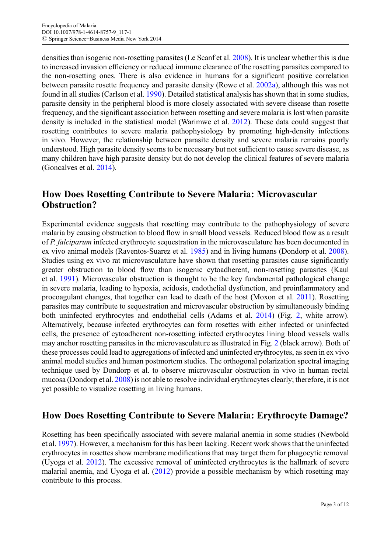densities than isogenic non-rosetting parasites (Le Scanf et al. [2008](#page-10-0)). It is unclear whether this is due to increased invasion efficiency or reduced immune clearance of the rosetting parasites compared to the non-rosetting ones. There is also evidence in humans for a significant positive correlation between parasite rosette frequency and parasite density (Rowe et al. [2002a\)](#page-10-0), although this was not found in all studies (Carlson et al. [1990](#page-8-0)). Detailed statistical analysis has shown that in some studies, parasite density in the peripheral blood is more closely associated with severe disease than rosette frequency, and the significant association between rosetting and severe malaria is lost when parasite density is included in the statistical model (Warimwe et al. [2012](#page-11-0)). These data could suggest that rosetting contributes to severe malaria pathophysiology by promoting high-density infections in vivo. However, the relationship between parasite density and severe malaria remains poorly understood. High parasite density seems to be necessary but not sufficient to cause severe disease, as many children have high parasite density but do not develop the clinical features of severe malaria (Goncalves et al. [2014\)](#page-9-0).

### How Does Rosetting Contribute to Severe Malaria: Microvascular Obstruction?

Experimental evidence suggests that rosetting may contribute to the pathophysiology of severe malaria by causing obstruction to blood flow in small blood vessels. Reduced blood flow as a result of P. falciparum infected erythrocyte sequestration in the microvasculature has been documented in ex vivo animal models (Raventos-Suarez et al. [1985](#page-10-0)) and in living humans (Dondorp et al. [2008\)](#page-9-0). Studies using ex vivo rat microvasculature have shown that rosetting parasites cause significantly greater obstruction to blood flow than isogenic cytoadherent, non-rosetting parasites (Kaul et al. [1991\)](#page-9-0). Microvascular obstruction is thought to be the key fundamental pathological change in severe malaria, leading to hypoxia, acidosis, endothelial dysfunction, and proinflammatory and procoagulant changes, that together can lead to death of the host (Moxon et al. [2011](#page-10-0)). Rosetting parasites may contribute to sequestration and microvascular obstruction by simultaneously binding both uninfected erythrocytes and endothelial cells (Adams et al. [2014\)](#page-8-0) (Fig. [2](#page-3-0), white arrow). Alternatively, because infected erythrocytes can form rosettes with either infected or uninfected cells, the presence of cytoadherent non-rosetting infected erythrocytes lining blood vessels walls may anchor rosetting parasites in the microvasculature as illustrated in Fig. [2](#page-3-0) (black arrow). Both of these processes could lead to aggregations of infected and uninfected erythrocytes, as seen in ex vivo animal model studies and human postmortem studies. The orthogonal polarization spectral imaging technique used by Dondorp et al. to observe microvascular obstruction in vivo in human rectal mucosa (Dondorp et al. [2008\)](#page-9-0) is not able to resolve individual erythrocytes clearly; therefore, it is not yet possible to visualize rosetting in living humans.

### How Does Rosetting Contribute to Severe Malaria: Erythrocyte Damage?

Rosetting has been specifically associated with severe malarial anemia in some studies (Newbold et al. [1997](#page-10-0)). However, a mechanism for this has been lacking. Recent work shows that the uninfected erythrocytes in rosettes show membrane modifications that may target them for phagocytic removal (Uyoga et al. [2012](#page-11-0)). The excessive removal of uninfected erythrocytes is the hallmark of severe malarial anemia, and Uyoga et al. ([2012](#page-11-0)) provide a possible mechanism by which rosetting may contribute to this process.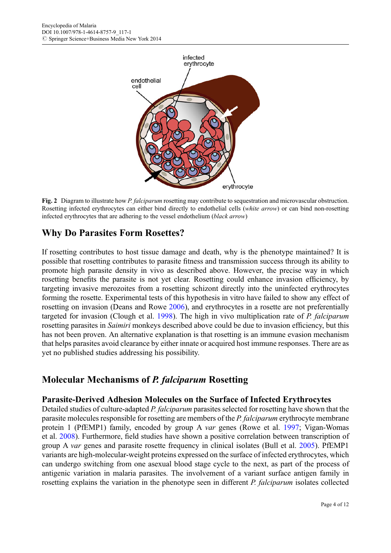<span id="page-3-0"></span>

Fig. 2 Diagram to illustrate how P. falciparum rosetting may contribute to sequestration and microvascular obstruction. Rosetting infected erythrocytes can either bind directly to endothelial cells (white arrow) or can bind non-rosetting infected erythrocytes that are adhering to the vessel endothelium (black arrow)

## Why Do Parasites Form Rosettes?

If rosetting contributes to host tissue damage and death, why is the phenotype maintained? It is possible that rosetting contributes to parasite fitness and transmission success through its ability to promote high parasite density in vivo as described above. However, the precise way in which rosetting benefits the parasite is not yet clear. Rosetting could enhance invasion efficiency, by targeting invasive merozoites from a rosetting schizont directly into the uninfected erythrocytes forming the rosette. Experimental tests of this hypothesis in vitro have failed to show any effect of rosetting on invasion (Deans and Rowe [2006](#page-9-0)), and erythrocytes in a rosette are not preferentially targeted for invasion (Clough et al. [1998](#page-9-0)). The high in vivo multiplication rate of P. falciparum rosetting parasites in Saimiri monkeys described above could be due to invasion efficiency, but this has not been proven. An alternative explanation is that rosetting is an immune evasion mechanism that helps parasites avoid clearance by either innate or acquired host immune responses. There are as yet no published studies addressing his possibility.

## Molecular Mechanisms of P. falciparum Rosetting

### Parasite-Derived Adhesion Molecules on the Surface of Infected Erythrocytes

Detailed studies of culture-adapted P. falciparum parasites selected for rosetting have shown that the parasite molecules responsible for rosetting are members of the P. falciparum erythrocyte membrane protein 1 (PfEMP1) family, encoded by group A var genes (Rowe et al. [1997;](#page-10-0) Vigan-Womas et al. [2008\)](#page-11-0). Furthermore, field studies have shown a positive correlation between transcription of group A var genes and parasite rosette frequency in clinical isolates (Bull et al. [2005\)](#page-8-0). PfEMP1 variants are high-molecular-weight proteins expressed on the surface of infected erythrocytes, which can undergo switching from one asexual blood stage cycle to the next, as part of the process of antigenic variation in malaria parasites. The involvement of a variant surface antigen family in rosetting explains the variation in the phenotype seen in different *P. falciparum* isolates collected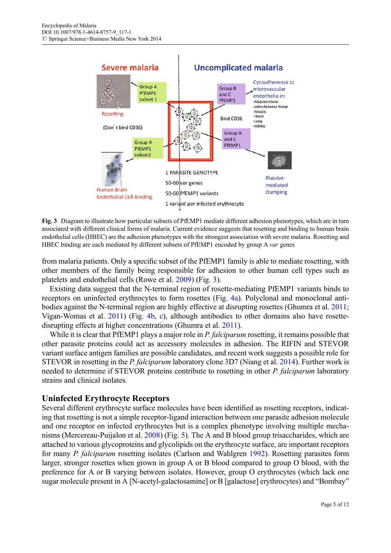

Fig. 3 Diagram to illustrate how particular subsets of PfEMP1 mediate different adhesion phenotypes, which are in turn associated with different clinical forms of malaria. Current evidence suggests that rosetting and binding to human brain endothelial cells (HBEC) are the adhesion phenotypes with the strongest association with severe malaria. Rosetting and HBEC binding are each mediated by different subsets of PfEMP1 encoded by group A var genes

from malaria patients. Only a specific subset of the PfEMP1 family is able to mediate rosetting, with other members of the family being responsible for adhesion to other human cell types such as platelets and endothelial cells (Rowe et al. [2009\)](#page-10-0) (Fig. 3).

Existing data suggest that the N-terminal region of rosette-mediating PfEMP1 variants binds to receptors on uninfected erythrocytes to form rosettes (Fig. [4a\)](#page-5-0). Polyclonal and monoclonal antibodies against the N-terminal region are highly effective at disrupting rosettes (Ghumra et al. [2011](#page-9-0); Vigan-Womas et al. [2011](#page-11-0)) (Fig. [4b,](#page-5-0) [c](#page-5-0)), although antibodies to other domains also have rosettedisrupting effects at higher concentrations (Ghumra et al. [2011\)](#page-9-0).

While it is clear that PfEMP1 plays a major role in P. falciparum rosetting, it remains possible that other parasite proteins could act as accessory molecules in adhesion. The RIFIN and STEVOR variant surface antigen families are possible candidates, and recent work suggests a possible role for STEVOR in rosetting in the *P. falciparum* laboratory clone 3D7 (Niang et al. [2014\)](#page-10-0). Further work is needed to determine if STEVOR proteins contribute to rosetting in other *P. falciparum* laboratory strains and clinical isolates.

#### Uninfected Erythrocyte Receptors

Several different erythrocyte surface molecules have been identified as rosetting receptors, indicating that rosetting is not a simple receptor-ligand interaction between one parasite adhesion molecule and one receptor on infected erythrocytes but is a complex phenotype involving multiple mechanisms (Mercereau-Puijalon et al. [2008\)](#page-10-0) (Fig. [5\)](#page-5-0). The A and B blood group trisaccharides, which are attached to various glycoproteins and glycolipids on the erythrocyte surface, are important receptors for many P. falciparum rosetting isolates (Carlson and Wahlgren [1992\)](#page-8-0). Rosetting parasites form larger, stronger rosettes when grown in group A or B blood compared to group O blood, with the preference for A or B varying between isolates. However, group O erythrocytes (which lack one sugar molecule present in A [N-acetyl-galactosamine] or B [galactose] erythrocytes) and "Bombay"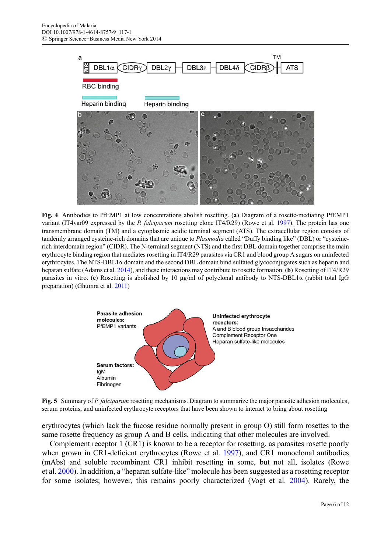<span id="page-5-0"></span>

Fig. 4 Antibodies to PfEMP1 at low concentrations abolish rosetting. (a) Diagram of a rosette-mediating PfEMP1 variant (IT4var09 expressed by the P. falciparum rosetting clone IT4/R29) (Rowe et al. [1997\)](#page-10-0). The protein has one transmembrane domain (TM) and a cytoplasmic acidic terminal segment (ATS). The extracellular region consists of tandemly arranged cysteine-rich domains that are unique to *Plasmodia* called "Duffy binding like" (DBL) or "cysteinerich interdomain region" (CIDR). The N-terminal segment (NTS) and the first DBL domain together comprise the main erythrocyte binding region that mediates rosetting in IT4/R29 parasites via CR1 and blood group A sugars on uninfected erythrocytes. The NTS-DBL1 $\alpha$  domain and the second DBL domain bind sulfated glycoconjugates such as heparin and heparan sulfate (Adams et al. [2014\)](#page-8-0), and these interactions may contribute to rosette formation. (b) Rosetting of IT4/R29 parasites in vitro. (c) Rosetting is abolished by 10  $\mu$ g/ml of polyclonal antibody to NTS-DBL1 $\alpha$  (rabbit total IgG preparation) (Ghumra et al. [2011](#page-9-0))



Fig. 5 Summary of P. falciparum rosetting mechanisms. Diagram to summarize the major parasite adhesion molecules, serum proteins, and uninfected erythrocyte receptors that have been shown to interact to bring about rosetting

erythrocytes (which lack the fucose residue normally present in group O) still form rosettes to the same rosette frequency as group A and B cells, indicating that other molecules are involved.

Complement receptor 1 (CR1) is known to be a receptor for rosetting, as parasites rosette poorly when grown in CR1-deficient erythrocytes (Rowe et al. [1997\)](#page-10-0), and CR1 monoclonal antibodies (mAbs) and soluble recombinant CR1 inhibit rosetting in some, but not all, isolates (Rowe et al. [2000](#page-10-0)). In addition, a "heparan sulfate-like" molecule has been suggested as a rosetting receptor for some isolates; however, this remains poorly characterized (Vogt et al. [2004](#page-11-0)). Rarely, the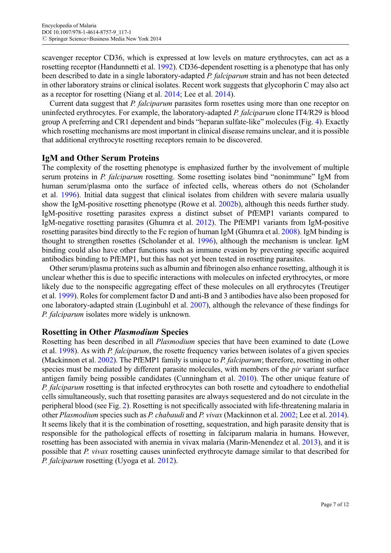scavenger receptor CD36, which is expressed at low levels on mature erythrocytes, can act as a rosetting receptor (Handunnetti et al. [1992](#page-9-0)). CD36-dependent rosetting is a phenotype that has only been described to date in a single laboratory-adapted P. falciparum strain and has not been detected in other laboratory strains or clinical isolates. Recent work suggests that glycophorin C may also act as a receptor for rosetting (Niang et al. [2014](#page-10-0); Lee et al. [2014](#page-10-0)).

Current data suggest that P. falciparum parasites form rosettes using more than one receptor on uninfected erythrocytes. For example, the laboratory-adapted P. falciparum clone IT4/R29 is blood group A preferring and CR1 dependent and binds "heparan sulfate-like" molecules (Fig. [4\)](#page-5-0). Exactly which rosetting mechanisms are most important in clinical disease remains unclear, and it is possible that additional erythrocyte rosetting receptors remain to be discovered.

#### IgM and Other Serum Proteins

The complexity of the rosetting phenotype is emphasized further by the involvement of multiple serum proteins in P. falciparum rosetting. Some rosetting isolates bind "nonimmune" IgM from human serum/plasma onto the surface of infected cells, whereas others do not (Scholander et al. [1996\)](#page-11-0). Initial data suggest that clinical isolates from children with severe malaria usually show the IgM-positive rosetting phenotype (Rowe et al. [2002b](#page-11-0)), although this needs further study. IgM-positive rosetting parasites express a distinct subset of PfEMP1 variants compared to IgM-negative rosetting parasites (Ghumra et al. [2012](#page-9-0)). The PfEMP1 variants from IgM-positive rosetting parasites bind directly to the Fc region of human IgM (Ghumra et al. [2008\)](#page-9-0). IgM binding is thought to strengthen rosettes (Scholander et al. [1996\)](#page-11-0), although the mechanism is unclear. IgM binding could also have other functions such as immune evasion by preventing specific acquired antibodies binding to PfEMP1, but this has not yet been tested in rosetting parasites.

Other serum/plasma proteins such as albumin and fibrinogen also enhance rosetting, although it is unclear whether this is due to specific interactions with molecules on infected erythrocytes, or more likely due to the nonspecific aggregating effect of these molecules on all erythrocytes (Treutiger et al. [1999\)](#page-11-0). Roles for complement factor D and anti-B and 3 antibodies have also been proposed for one laboratory-adapted strain (Luginbuhl et al. [2007\)](#page-10-0), although the relevance of these findings for P. falciparum isolates more widely is unknown.

#### Rosetting in Other Plasmodium Species

Rosetting has been described in all *Plasmodium* species that have been examined to date (Lowe et al. [1998](#page-10-0)). As with P. falciparum, the rosette frequency varies between isolates of a given species (Mackinnon et al. [2002\)](#page-10-0). The PfEMP1 family is unique to P. falciparum; therefore, rosetting in other species must be mediated by different parasite molecules, with members of the *pir* variant surface antigen family being possible candidates (Cunningham et al. [2010\)](#page-9-0). The other unique feature of P. falciparum rosetting is that infected erythrocytes can both rosette and cytoadhere to endothelial cells simultaneously, such that rosetting parasites are always sequestered and do not circulate in the peripheral blood (see Fig. [2\)](#page-3-0). Rosetting is not specifically associated with life-threatening malaria in other Plasmodium species such as P. chabaudi and P. vivax (Mackinnon et al. [2002](#page-10-0); Lee et al. [2014\)](#page-10-0). It seems likely that it is the combination of rosetting, sequestration, and high parasite density that is responsible for the pathological effects of rosetting in falciparum malaria in humans. However, rosetting has been associated with anemia in vivax malaria (Marin-Menendez et al. [2013](#page-10-0)), and it is possible that P. vivax rosetting causes uninfected erythrocyte damage similar to that described for P. falciparum rosetting (Uyoga et al. [2012](#page-11-0)).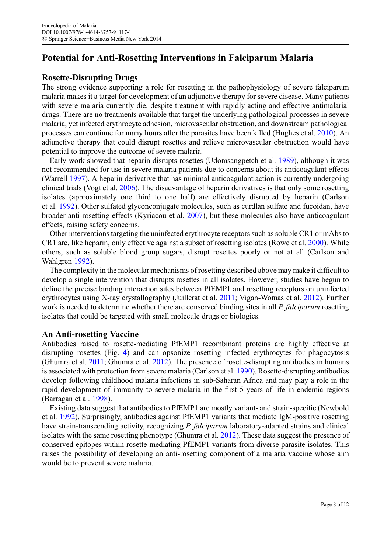### Potential for Anti-Rosetting Interventions in Falciparum Malaria

#### Rosette-Disrupting Drugs

The strong evidence supporting a role for rosetting in the pathophysiology of severe falciparum malaria makes it a target for development of an adjunctive therapy for severe disease. Many patients with severe malaria currently die, despite treatment with rapidly acting and effective antimalarial drugs. There are no treatments available that target the underlying pathological processes in severe malaria, yet infected erythrocyte adhesion, microvascular obstruction, and downstream pathological processes can continue for many hours after the parasites have been killed (Hughes et al. [2010](#page-9-0)). An adjunctive therapy that could disrupt rosettes and relieve microvascular obstruction would have potential to improve the outcome of severe malaria.

Early work showed that heparin disrupts rosettes (Udomsangpetch et al. [1989\)](#page-11-0), although it was not recommended for use in severe malaria patients due to concerns about its anticoagulant effects (Warrell [1997\)](#page-11-0). A heparin derivative that has minimal anticoagulant action is currently undergoing clinical trials (Vogt et al. [2006\)](#page-11-0). The disadvantage of heparin derivatives is that only some rosetting isolates (approximately one third to one half) are effectively disrupted by heparin (Carlson et al. [1992\)](#page-8-0). Other sulfated glyconconjugate molecules, such as curdlan sulfate and fucoidan, have broader anti-rosetting effects (Kyriacou et al. [2007\)](#page-9-0), but these molecules also have anticoagulant effects, raising safety concerns.

Other interventions targeting the uninfected erythrocyte receptors such as soluble CR1 or mAbs to CR1 are, like heparin, only effective against a subset of rosetting isolates (Rowe et al. [2000](#page-10-0)). While others, such as soluble blood group sugars, disrupt rosettes poorly or not at all (Carlson and Wahlgren [1992\)](#page-8-0).

The complexity in the molecular mechanisms of rosetting described above may make it difficult to develop a single intervention that disrupts rosettes in all isolates. However, studies have begun to define the precise binding interaction sites between PfEMP1 and rosetting receptors on uninfected erythrocytes using X-ray crystallography (Juillerat et al. [2011](#page-9-0); Vigan-Womas et al. [2012](#page-11-0)). Further work is needed to determine whether there are conserved binding sites in all P. falciparum rosetting isolates that could be targeted with small molecule drugs or biologics.

#### An Anti-rosetting Vaccine

Antibodies raised to rosette-mediating PfEMP1 recombinant proteins are highly effective at disrupting rosettes (Fig. [4](#page-5-0)) and can opsonize rosetting infected erythrocytes for phagocytosis (Ghumra et al. [2011;](#page-9-0) Ghumra et al. [2012](#page-9-0)). The presence of rosette-disrupting antibodies in humans is associated with protection from severe malaria (Carlson et al. [1990](#page-8-0)). Rosette-disrupting antibodies develop following childhood malaria infections in sub-Saharan Africa and may play a role in the rapid development of immunity to severe malaria in the first 5 years of life in endemic regions (Barragan et al. [1998](#page-8-0)).

Existing data suggest that antibodies to PfEMP1 are mostly variant- and strain-specific (Newbold et al. [1992](#page-10-0)). Surprisingly, antibodies against PfEMP1 variants that mediate IgM-positive rosetting have strain-transcending activity, recognizing P. falciparum laboratory-adapted strains and clinical isolates with the same rosetting phenotype (Ghumra et al. [2012\)](#page-9-0). These data suggest the presence of conserved epitopes within rosette-mediating PfEMP1 variants from diverse parasite isolates. This raises the possibility of developing an anti-rosetting component of a malaria vaccine whose aim would be to prevent severe malaria.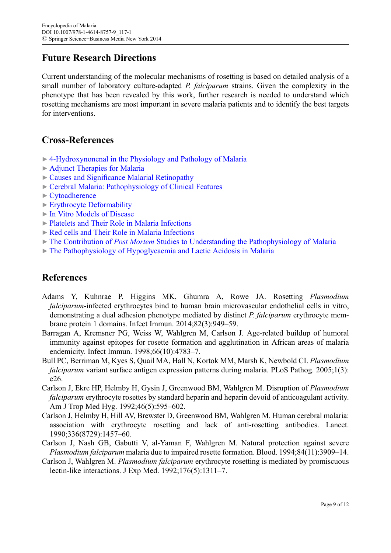### <span id="page-8-0"></span>Future Research Directions

Current understanding of the molecular mechanisms of rosetting is based on detailed analysis of a small number of laboratory culture-adapted *P. falciparum* strains. Given the complexity in the phenotype that has been revealed by this work, further research is needed to understand which rosetting mechanisms are most important in severe malaria patients and to identify the best targets for interventions.

### Cross-References

- ▶ [4-Hydroxynonenal in the Physiology and Pathology of Malaria](http://link.springer.com/SpringerLink:ChapterTarget)
- ▶ [Adjunct Therapies for Malaria](http://link.springer.com/SpringerLink:ChapterTarget)
- ▶ Causes and Signifi[cance Malarial Retinopathy](http://link.springer.com/SpringerLink:ChapterTarget)
- ▶ [Cerebral Malaria: Pathophysiology of Clinical Features](http://link.springer.com/SpringerLink:ChapterTarget)
- ▶ [Cytoadherence](http://link.springer.com/SpringerLink:ChapterTarget)
- ▶ [Erythrocyte Deformability](http://link.springer.com/SpringerLink:ChapterTarget)
- ▶ [In Vitro Models of Disease](http://link.springer.com/SpringerLink:ChapterTarget)
- ▶ [Platelets and Their Role in Malaria Infections](http://link.springer.com/SpringerLink:ChapterTarget)
- ▶ [Red cells and Their Role in Malaria Infections](http://link.springer.com/SpringerLink:ChapterTarget)
- $\triangleright$  The Contribution of *Post Mortem* [Studies to Understanding the Pathophysiology of Malaria](http://link.springer.com/SpringerLink:ChapterTarget)
- $\triangleright$  [The Pathophysiology of Hypoglycaemia and Lactic Acidosis in Malaria](http://link.springer.com/SpringerLink:ChapterTarget)

### References

- Adams Y, Kuhnrae P, Higgins MK, Ghumra A, Rowe JA. Rosetting Plasmodium falciparum-infected erythrocytes bind to human brain microvascular endothelial cells in vitro, demonstrating a dual adhesion phenotype mediated by distinct *P. falciparum* erythrocyte membrane protein 1 domains. Infect Immun. 2014;82(3):949–59.
- Barragan A, Kremsner PG, Weiss W, Wahlgren M, Carlson J. Age-related buildup of humoral immunity against epitopes for rosette formation and agglutination in African areas of malaria endemicity. Infect Immun. 1998;66(10):4783–7.
- Bull PC, Berriman M, Kyes S, Quail MA, Hall N, Kortok MM, Marsh K, Newbold CI. Plasmodium falciparum variant surface antigen expression patterns during malaria. PLoS Pathog. 2005;1(3): e26.
- Carlson J, Ekre HP, Helmby H, Gysin J, Greenwood BM, Wahlgren M. Disruption of Plasmodium falciparum erythrocyte rosettes by standard heparin and heparin devoid of anticoagulant activity. Am J Trop Med Hyg. 1992;46(5):595–602.
- Carlson J, Helmby H, Hill AV, Brewster D, Greenwood BM, Wahlgren M. Human cerebral malaria: association with erythrocyte rosetting and lack of anti-rosetting antibodies. Lancet. 1990;336(8729):1457–60.
- Carlson J, Nash GB, Gabutti V, al-Yaman F, Wahlgren M. Natural protection against severe Plasmodium falciparum malaria due to impaired rosette formation. Blood. 1994;84(11):3909–14.
- Carlson J, Wahlgren M. Plasmodium falciparum erythrocyte rosetting is mediated by promiscuous lectin-like interactions. J Exp Med. 1992;176(5):1311–7.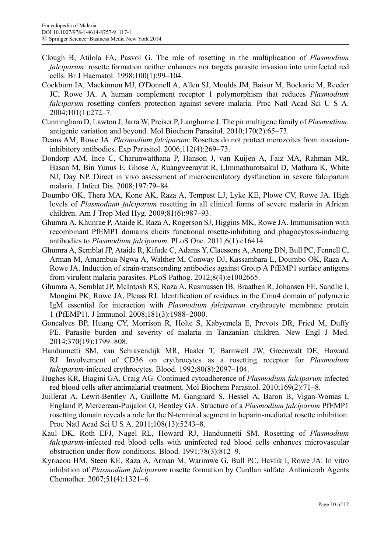- <span id="page-9-0"></span>Clough B, Atilola FA, Pasvol G. The role of rosetting in the multiplication of Plasmodium falciparum: rosette formation neither enhances nor targets parasite invasion into uninfected red cells. Br J Haematol. 1998;100(1):99–104.
- Cockburn IA, Mackinnon MJ, O'Donnell A, Allen SJ, Moulds JM, Baisor M, Bockarie M, Reeder JC, Rowe JA. A human complement receptor 1 polymorphism that reduces Plasmodium falciparum rosetting confers protection against severe malaria. Proc Natl Acad Sci U S A. 2004;101(1):272–7.
- Cunningham D, Lawton J, Jarra W, Preiser P, Langhorne J. The pir multigene family of Plasmodium: antigenic variation and beyond. Mol Biochem Parasitol. 2010;170(2):65–73.
- Deans AM, Rowe JA. *Plasmodium falciparum*: Rosettes do not protect merozoites from invasioninhibitory antibodies. Exp Parasitol. 2006;112(4):269–73.
- Dondorp AM, Ince C, Charunwatthana P, Hanson J, van Kuijen A, Faiz MA, Rahman MR, Hasan M, Bin Yunus E, Ghose A, Ruangveerayut R, LImmathurotsakul D, Mathura K, White NJ, Day NP. Direct in vivo assessment of microcirculatory dysfunction in severe falciparum malaria. J Infect Dis. 2008;197:79–84.
- Doumbo OK, Thera MA, Kone AK, Raza A, Tempest LJ, Lyke KE, Plowe CV, Rowe JA. High levels of Plasmodium falciparum rosetting in all clinical forms of severe malaria in African children. Am J Trop Med Hyg. 2009;81(6):987–93.
- Ghumra A, Khunrae P, Ataide R, Raza A, Rogerson SJ, Higgins MK, Rowe JA. Immunisation with recombinant PfEMP1 domains elicits functional rosette-inhibiting and phagocytosis-inducing antibodies to Plasmodium falciparum. PLoS One. 2011;6(1):e16414.
- Ghumra A, Semblat JP, Ataide R, Kifude C, Adams Y, Claessens A, Anong DN, Bull PC, Fennell C, Arman M, Amambua-Ngwa A, Walther M, Conway DJ, Kassambara L, Doumbo OK, Raza A, Rowe JA. Induction of strain-transcending antibodies against Group A PfEMP1 surface antigens from virulent malaria parasites. PLoS Pathog. 2012;8(4):e1002665.
- Ghumra A, Semblat JP, McIntosh RS, Raza A, Rasmussen IB, Braathen R, Johansen FE, Sandlie I, Mongini PK, Rowe JA, Pleass RJ. Identification of residues in the Cmu4 domain of polymeric IgM essential for interaction with Plasmodium falciparum erythrocyte membrane protein 1 (PfEMP1). J Immunol. 2008;181(3):1988–2000.
- Goncalves BP, Huang CY, Morrison R, Holte S, Kabyemela E, Prevots DR, Fried M, Duffy PE. Parasite burden and severity of malaria in Tanzanian children. New Engl J Med. 2014;370(19):1799–808.
- Handunnetti SM, van Schravendijk MR, Hasler T, Barnwell JW, Greenwalt DE, Howard RJ. Involvement of CD36 on erythrocytes as a rosetting receptor for Plasmodium falciparum-infected erythrocytes. Blood. 1992;80(8):2097–104.
- Hughes KR, Biagini GA, Craig AG. Continued cytoadherence of Plasmodium falciparum infected red blood cells after antimalarial treatment. Mol Biochem Parasitol. 2010;169(2):71–8.
- Juillerat A, Lewit-Bentley A, Guillotte M, Gangnard S, Hessel A, Baron B, Vigan-Womas I, England P, Mercereau-Puijalon O, Bentley GA. Structure of a Plasmodium falciparum PfEMP1 rosetting domain reveals a role for the N-terminal segment in heparin-mediated rosette inhibition. Proc Natl Acad Sci U S A. 2011;108(13):5243–8.
- Kaul DK, Roth EFJ, Nagel RL, Howard RJ, Handunnetti SM. Rosetting of Plasmodium falciparum-infected red blood cells with uninfected red blood cells enhances microvascular obstruction under flow conditions. Blood. 1991;78(3):812–9.
- Kyriacou HM, Steen KE, Raza A, Arman M, Warimwe G, Bull PC, Havlik I, Rowe JA. In vitro inhibition of Plasmodium falciparum rosette formation by Curdlan sulfate. Antimicrob Agents Chemother. 2007;51(4):1321–6.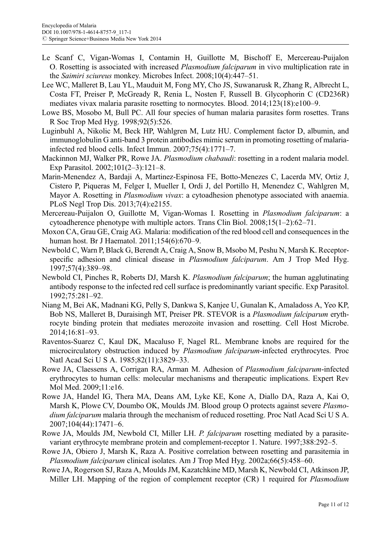- <span id="page-10-0"></span>Le Scanf C, Vigan-Womas I, Contamin H, Guillotte M, Bischoff E, Mercereau-Puijalon O. Rosetting is associated with increased Plasmodium falciparum in vivo multiplication rate in the Saimiri sciureus monkey. Microbes Infect. 2008;10(4):447–51.
- Lee WC, Malleret B, Lau YL, Mauduit M, Fong MY, Cho JS, Suwanarusk R, Zhang R, Albrecht L, Costa FT, Preiser P, McGready R, Renia L, Nosten F, Russell B. Glycophorin C (CD236R) mediates vivax malaria parasite rosetting to normocytes. Blood. 2014;123(18):e100–9.
- Lowe BS, Mosobo M, Bull PC. All four species of human malaria parasites form rosettes. Trans R Soc Trop Med Hyg. 1998;92(5):526.
- Luginbuhl A, Nikolic M, Beck HP, Wahlgren M, Lutz HU. Complement factor D, albumin, and immunoglobulin G anti-band 3 protein antibodies mimic serum in promoting rosetting of malariainfected red blood cells. Infect Immun. 2007;75(4):1771–7.
- Mackinnon MJ, Walker PR, Rowe JA. Plasmodium chabaudi: rosetting in a rodent malaria model. Exp Parasitol. 2002;101(2–3):121–8.
- Marin-Menendez A, Bardaji A, Martinez-Espinosa FE, Botto-Menezes C, Lacerda MV, Ortiz J, Cistero P, Piqueras M, Felger I, Mueller I, Ordi J, del Portillo H, Menendez C, Wahlgren M, Mayor A. Rosetting in *Plasmodium vivax*: a cytoadhesion phenotype associated with anaemia. PLoS Negl Trop Dis. 2013;7(4):e2155.
- Mercereau-Puijalon O, Guillotte M, Vigan-Womas I. Rosetting in Plasmodium falciparum: a cytoadherence phenotype with multiple actors. Trans Clin Biol. 2008;15(1–2):62–71.
- Moxon CA, Grau GE, Craig AG. Malaria: modification of the red blood cell and consequences in the human host. Br J Haematol. 2011;154(6):670–9.
- Newbold C, Warn P, Black G, Berendt A, Craig A, Snow B, Msobo M, Peshu N, Marsh K. Receptorspecific adhesion and clinical disease in Plasmodium falciparum. Am J Trop Med Hyg. 1997;57(4):389–98.
- Newbold CI, Pinches R, Roberts DJ, Marsh K. Plasmodium falciparum; the human agglutinating antibody response to the infected red cell surface is predominantly variant specific. Exp Parasitol. 1992;75:281–92.
- Niang M, Bei AK, Madnani KG, Pelly S, Dankwa S, Kanjee U, Gunalan K, Amaladoss A, Yeo KP, Bob NS, Malleret B, Duraisingh MT, Preiser PR. STEVOR is a Plasmodium falciparum erythrocyte binding protein that mediates merozoite invasion and rosetting. Cell Host Microbe. 2014;16:81–93.
- Raventos-Suarez C, Kaul DK, Macaluso F, Nagel RL. Membrane knobs are required for the microcirculatory obstruction induced by Plasmodium falciparum-infected erythrocytes. Proc Natl Acad Sci U S A. 1985;82(11):3829–33.
- Rowe JA, Claessens A, Corrigan RA, Arman M. Adhesion of Plasmodium falciparum-infected erythrocytes to human cells: molecular mechanisms and therapeutic implications. Expert Rev Mol Med. 2009;11:e16.
- Rowe JA, Handel IG, Thera MA, Deans AM, Lyke KE, Kone A, Diallo DA, Raza A, Kai O, Marsh K, Plowe CV, Doumbo OK, Moulds JM. Blood group O protects against severe Plasmodium falciparum malaria through the mechanism of reduced rosetting. Proc Natl Acad Sci U S A. 2007;104(44):17471–6.
- Rowe JA, Moulds JM, Newbold CI, Miller LH. P. falciparum rosetting mediated by a parasitevariant erythrocyte membrane protein and complement-receptor 1. Nature. 1997;388:292–5.
- Rowe JA, Obiero J, Marsh K, Raza A. Positive correlation between rosetting and parasitemia in Plasmodium falciparum clinical isolates. Am J Trop Med Hyg. 2002a;66(5):458–60.
- Rowe JA, Rogerson SJ, Raza A, Moulds JM, Kazatchkine MD, Marsh K, Newbold CI, Atkinson JP, Miller LH. Mapping of the region of complement receptor (CR) 1 required for *Plasmodium*